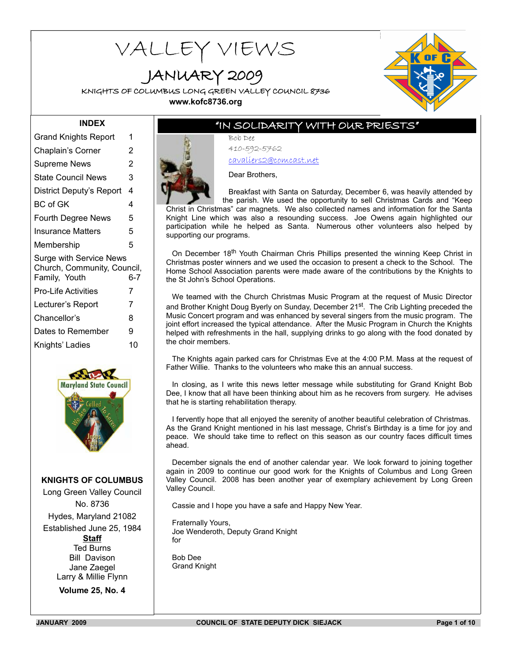# VALLEY VIEWS

JANUARY 2009

KNIGHTS OF COLUMBUS LONG GREEN VALLEY COUNCIL 8736 **www.kofc8736.org**



# **INDEX**

| <b>Grand Knights Report</b>                                                    | 1   |
|--------------------------------------------------------------------------------|-----|
| Chaplain's Corner                                                              | 2   |
| <b>Supreme News</b>                                                            | 2   |
| <b>State Council News</b>                                                      | 3   |
| District Deputy's Report                                                       | 4   |
| BC of GK                                                                       | 4   |
| <b>Fourth Degree News</b>                                                      | 5   |
| Insurance Matters                                                              | 5   |
| Membership                                                                     | 5   |
| <b>Surge with Service News</b><br>Church, Community, Council,<br>Family, Youth | 6-7 |
| <b>Pro-Life Activities</b>                                                     | 7   |
| Lecturer's Report                                                              | 7   |
| Chancellor's                                                                   | 8   |
| Dates to Remember                                                              | 9   |
| Knights' Ladies                                                                | 10  |
|                                                                                |     |



**KNIGHTS OF COLUMBUS**

Long Green Valley Council No. 8736 Hydes, Maryland 21082 Established June 25, 1984 **Staff** Ted Burns Bill Davison Jane Zaegel Larry & Millie Flynn

**Volume 25, No. 4**

# "IN SOLIDARITY WITH OUR PRIESTS"

Bob Dee 410-592-5762 cavaliers2@comcast.net

Dear Brothers,

Breakfast with Santa on Saturday, December 6, was heavily attended by the parish. We used the opportunity to sell Christmas Cards and "Keep Christ in Christmas" car magnets. We also collected names and information for the Santa Knight Line which was also a resounding success. Joe Owens again highlighted our participation while he helped as Santa. Numerous other volunteers also helped by supporting our programs.

On December 18<sup>th</sup> Youth Chairman Chris Phillips presented the winning Keep Christ in Christmas poster winners and we used the occasion to present a check to the School. The Home School Association parents were made aware of the contributions by the Knights to the St John's School Operations.

We teamed with the Church Christmas Music Program at the request of Music Director and Brother Knight Doug Byerly on Sunday, December 21<sup>st</sup>. The Crib Lighting preceded the Music Concert program and was enhanced by several singers from the music program. The joint effort increased the typical attendance. After the Music Program in Church the Knights helped with refreshments in the hall, supplying drinks to go along with the food donated by the choir members.

The Knights again parked cars for Christmas Eve at the 4:00 P.M. Mass at the request of Father Willie. Thanks to the volunteers who make this an annual success.

In closing, as I write this news letter message while substituting for Grand Knight Bob Dee, I know that all have been thinking about him as he recovers from surgery. He advises that he is starting rehabilitation therapy.

I fervently hope that all enjoyed the serenity of another beautiful celebration of Christmas. As the Grand Knight mentioned in his last message, Christ's Birthday is a time for joy and peace. We should take time to reflect on this season as our country faces difficult times ahead.

December signals the end of another calendar year. We look forward to joining together again in 2009 to continue our good work for the Knights of Columbus and Long Green Valley Council. 2008 has been another year of exemplary achievement by Long Green Valley Council.

Cassie and I hope you have a safe and Happy New Year.

Fraternally Yours, Joe Wenderoth, Deputy Grand Knight for

Bob Dee Grand Knight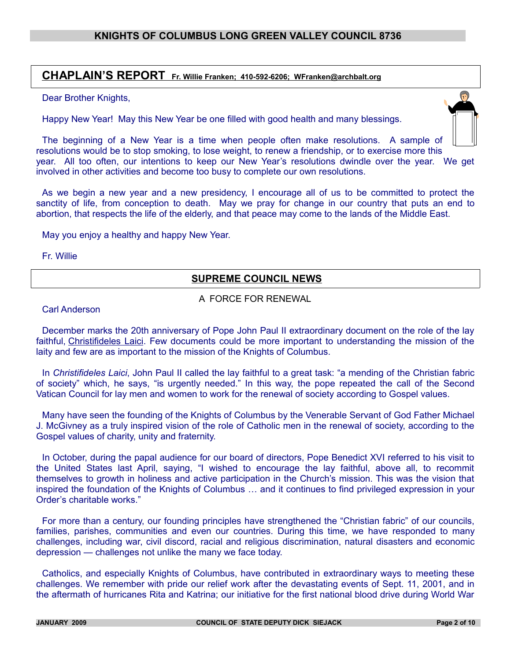# **CHAPLAIN'S REPORT Fr. Willie Franken; 410-592-6206; WFranken@archbalt.org**

#### Dear Brother Knights,

Happy New Year! May this New Year be one filled with good health and many blessings.



The beginning of a New Year is a time when people often make resolutions. A sample of resolutions would be to stop smoking, to lose weight, to renew a friendship, or to exercise more this year. All too often, our intentions to keep our New Year's resolutions dwindle over the year. We get involved in other activities and become too busy to complete our own resolutions.

As we begin a new year and a new presidency, I encourage all of us to be committed to protect the sanctity of life, from conception to death. May we pray for change in our country that puts an end to abortion, that respects the life of the elderly, and that peace may come to the lands of the Middle East.

May you enjoy a healthy and happy New Year.

Fr. Willie

# **SUPREME COUNCIL NEWS**

A FORCE FOR RENEWAL

Carl Anderson

December marks the 20th anniversary of Pope John Paul II extraordinary document on the role of the lay faithful, [Christifideles Laici.](http://www.vatican.va/holy_father/john_paul_ii/apost_exhortations/documents/hf_jp-ii_exh_30121988_christifideles-laici_en.html) Few documents could be more important to understanding the mission of the laity and few are as important to the mission of the Knights of Columbus.

In *Christifideles Laici*, John Paul II called the lay faithful to a great task: "a mending of the Christian fabric of society" which, he says, "is urgently needed." In this way, the pope repeated the call of the Second Vatican Council for lay men and women to work for the renewal of society according to Gospel values.

Many have seen the founding of the Knights of Columbus by the Venerable Servant of God Father Michael J. McGivney as a truly inspired vision of the role of Catholic men in the renewal of society, according to the Gospel values of charity, unity and fraternity.

In October, during the papal audience for our board of directors, Pope Benedict XVI referred to his visit to the United States last April, saying, "I wished to encourage the lay faithful, above all, to recommit themselves to growth in holiness and active participation in the Church's mission. This was the vision that inspired the foundation of the Knights of Columbus … and it continues to find privileged expression in your Order's charitable works."

For more than a century, our founding principles have strengthened the "Christian fabric" of our councils, families, parishes, communities and even our countries. During this time, we have responded to many challenges, including war, civil discord, racial and religious discrimination, natural disasters and economic depression — challenges not unlike the many we face today.

Catholics, and especially Knights of Columbus, have contributed in extraordinary ways to meeting these challenges. We remember with pride our relief work after the devastating events of Sept. 11, 2001, and in the aftermath of hurricanes Rita and Katrina; our initiative for the first national blood drive during World War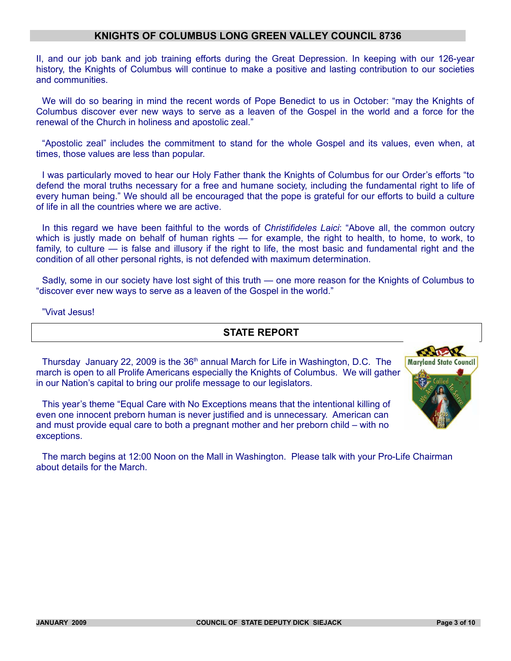II, and our job bank and job training efforts during the Great Depression. In keeping with our 126-year history, the Knights of Columbus will continue to make a positive and lasting contribution to our societies and communities.

We will do so bearing in mind the recent words of Pope Benedict to us in October: "may the Knights of Columbus discover ever new ways to serve as a leaven of the Gospel in the world and a force for the renewal of the Church in holiness and apostolic zeal."

"Apostolic zeal" includes the commitment to stand for the whole Gospel and its values, even when, at times, those values are less than popular.

I was particularly moved to hear our Holy Father thank the Knights of Columbus for our Order's efforts "to defend the moral truths necessary for a free and humane society, including the fundamental right to life of every human being." We should all be encouraged that the pope is grateful for our efforts to build a culture of life in all the countries where we are active.

In this regard we have been faithful to the words of *Christifideles Laici*: "Above all, the common outcry which is justly made on behalf of human rights — for example, the right to health, to home, to work, to family, to culture — is false and illusory if the right to life, the most basic and fundamental right and the condition of all other personal rights, is not defended with maximum determination.

Sadly, some in our society have lost sight of this truth — one more reason for the Knights of Columbus to "discover ever new ways to serve as a leaven of the Gospel in the world."

#### "Vivat Jesus!

exceptions.

# **STATE REPORT**

Thursday January 22, 2009 is the 36<sup>th</sup> annual March for Life in Washington, D.C. The march is open to all Prolife Americans especially the Knights of Columbus. We will gather in our Nation's capital to bring our prolife message to our legislators.

This year's theme "Equal Care with No Exceptions means that the intentional killing of even one innocent preborn human is never justified and is unnecessary. American can and must provide equal care to both a pregnant mother and her preborn child – with no

The march begins at 12:00 Noon on the Mall in Washington. Please talk with your Pro-Life Chairman about details for the March.

**RADER Maryland State Council**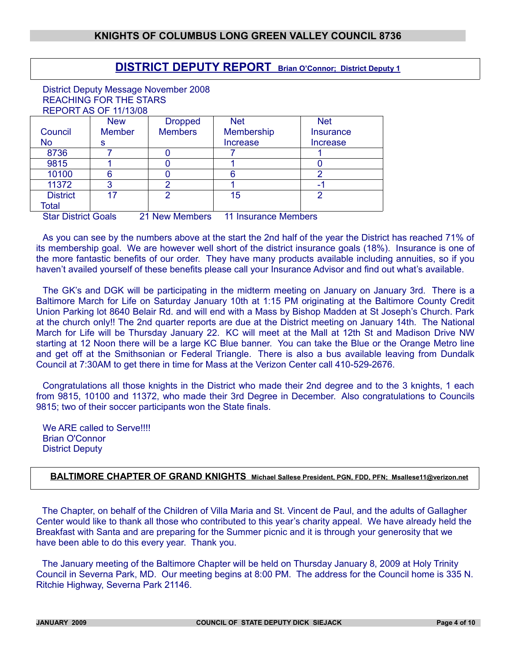# **DISTRICT DEPUTY REPORT Brian O'Connor; District Deputy 1**

District Deputy Message November 2008 REACHING FOR THE STARS REPORT AS OF 11/13/08

|                                                                               | <b>New</b>    | <b>Dropped</b> | <b>Net</b>     | <b>Net</b>       |
|-------------------------------------------------------------------------------|---------------|----------------|----------------|------------------|
| Council                                                                       | <b>Member</b> | <b>Members</b> | Membership     | <b>Insurance</b> |
| No                                                                            | s             |                | Increase       | Increase         |
| 8736                                                                          |               |                |                |                  |
| 9815                                                                          |               |                |                |                  |
| 10100                                                                         |               |                |                |                  |
| 11372                                                                         |               |                |                |                  |
| <b>District</b>                                                               |               |                | 15             |                  |
| Total                                                                         |               |                |                |                  |
| $\mathbf{a}$ $\mathbf{a}$ $\mathbf{a}$ $\mathbf{a}$ $\mathbf{a}$ $\mathbf{a}$ |               |                | $\blacksquare$ |                  |

Star District Goals 21 New Members 11 Insurance Members

As you can see by the numbers above at the start the 2nd half of the year the District has reached 71% of its membership goal. We are however well short of the district insurance goals (18%). Insurance is one of the more fantastic benefits of our order. They have many products available including annuities, so if you haven't availed yourself of these benefits please call your Insurance Advisor and find out what's available.

The GK's and DGK will be participating in the midterm meeting on January on January 3rd. There is a Baltimore March for Life on Saturday January 10th at 1:15 PM originating at the Baltimore County Credit Union Parking lot 8640 Belair Rd. and will end with a Mass by Bishop Madden at St Joseph's Church. Park at the church only!! The 2nd quarter reports are due at the District meeting on January 14th. The National March for Life will be Thursday January 22. KC will meet at the Mall at 12th St and Madison Drive NW starting at 12 Noon there will be a large KC Blue banner. You can take the Blue or the Orange Metro line and get off at the Smithsonian or Federal Triangle. There is also a bus available leaving from Dundalk Council at 7:30AM to get there in time for Mass at the Verizon Center call 410-529-2676.

Congratulations all those knights in the District who made their 2nd degree and to the 3 knights, 1 each from 9815, 10100 and 11372, who made their 3rd Degree in December. Also congratulations to Councils 9815; two of their soccer participants won the State finals.

We ARE called to Serve!!!! Brian O'Connor District Deputy

# **BALTIMORE CHAPTER OF GRAND KNIGHTS Michael Sallese President, PGN, FDD, PFN; Msallese11@verizon.net**

The Chapter, on behalf of the Children of Villa Maria and St. Vincent de Paul, and the adults of Gallagher Center would like to thank all those who contributed to this year's charity appeal. We have already held the Breakfast with Santa and are preparing for the Summer picnic and it is through your generosity that we have been able to do this every year. Thank you.

The January meeting of the Baltimore Chapter will be held on Thursday January 8, 2009 at Holy Trinity Council in Severna Park, MD. Our meeting begins at 8:00 PM. The address for the Council home is 335 N. Ritchie Highway, Severna Park 21146.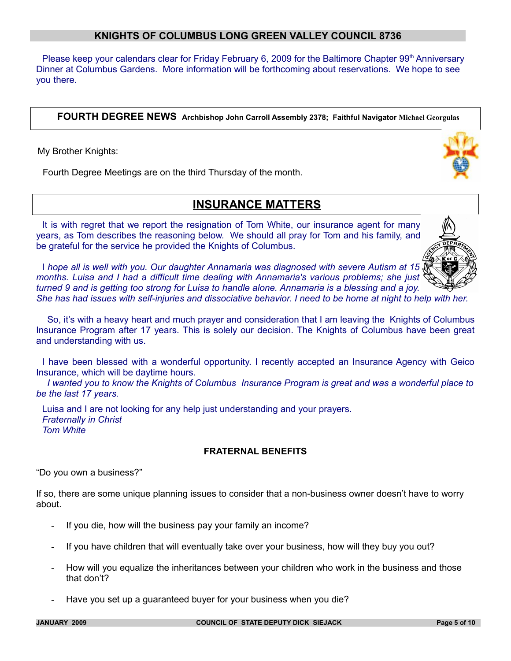Please keep your calendars clear for Friday February 6, 2009 for the Baltimore Chapter 99<sup>th</sup> Anniversary Dinner at Columbus Gardens. More information will be forthcoming about reservations. We hope to see you there.

**FOURTH DEGREE NEWS Archbishop John Carroll Assembly 2378; Faithful Navigator Michael Georgulas** 

My Brother Knights:

Fourth Degree Meetings are on the third Thursday of the month.

# **INSURANCE MATTERS**

It is with regret that we report the resignation of Tom White, our insurance agent for many years, as Tom describes the reasoning below. We should all pray for Tom and his family, and be grateful for the service he provided the Knights of Columbus.

I *hope all is well with you. Our daughter Annamaria was diagnosed with severe Autism at 15 months. Luisa and I had a difficult time dealing with Annamaria's various problems; she just turned 9 and is getting too strong for Luisa to handle alone. Annamaria is a blessing and a joy. She has had issues with self-injuries and dissociative behavior. I need to be home at night to help with her.*

 So, it's with a heavy heart and much prayer and consideration that I am leaving the Knights of Columbus Insurance Program after 17 years. This is solely our decision. The Knights of Columbus have been great and understanding with us.

I have been blessed with a wonderful opportunity. I recently accepted an Insurance Agency with Geico Insurance, which will be daytime hours.

 *I wanted you to know the Knights of Columbus Insurance Program is great and was a wonderful place to be the last 17 years.*

Luisa and I are not looking for any help just understanding and your prayers. *Fraternally in Christ Tom White* 

## **FRATERNAL BENEFITS**

"Do you own a business?"

If so, there are some unique planning issues to consider that a non-business owner doesn't have to worry about.

- If you die, how will the business pay your family an income?
- If you have children that will eventually take over your business, how will they buy you out?
- How will you equalize the inheritances between your children who work in the business and those that don't?
- Have you set up a guaranteed buyer for your business when you die?



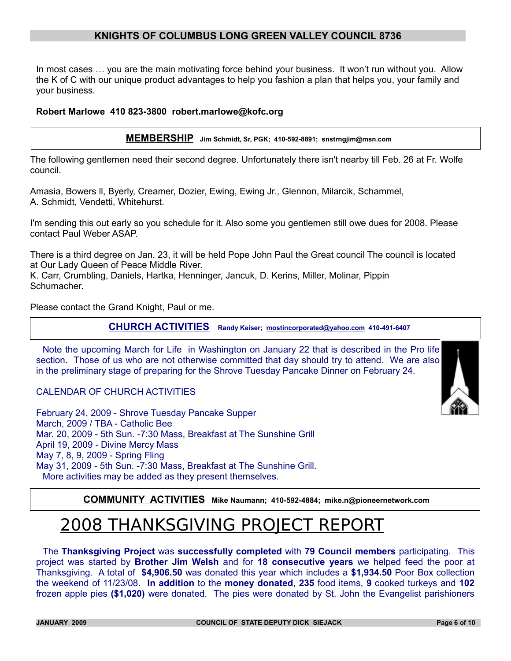In most cases … you are the main motivating force behind your business. It won't run without you. Allow the K of C with our unique product advantages to help you fashion a plan that helps you, your family and your business.

#### **Robert Marlowe 410 823-3800 robert.marlowe@kofc.org**

**MEMBERSHIP Jim Schmidt, Sr, PGK; 410-592-8891; snstrngjim@msn.com**

The following gentlemen need their second degree. Unfortunately there isn't nearby till Feb. 26 at Fr. Wolfe council.

Amasia, Bowers ll, Byerly, Creamer, Dozier, Ewing, Ewing Jr., Glennon, Milarcik, Schammel, A. Schmidt, Vendetti, Whitehurst.

I'm sending this out early so you schedule for it. Also some you gentlemen still owe dues for 2008. Please contact Paul Weber ASAP.

There is a third degree on Jan. 23, it will be held Pope John Paul the Great council The council is located at Our Lady Queen of Peace Middle River.

K. Carr, Crumbling, Daniels, Hartka, Henninger, Jancuk, D. Kerins, Miller, Molinar, Pippin Schumacher.

Please contact the Grand Knight, Paul or me.

**CHURCH ACTIVITIES Randy Keiser; [mostincorporated@yahoo.com](mailto:mostincorporated@yahoo.com) 410-491-6407**

Note the upcoming March for Life in Washington on January 22 that is described in the Pro life section. Those of us who are not otherwise committed that day should try to attend. We are also in the preliminary stage of preparing for the Shrove Tuesday Pancake Dinner on February 24.

CALENDAR OF CHURCH ACTIVITIES

February 24, 2009 - Shrove Tuesday Pancake Supper March, 2009 / TBA - Catholic Bee Mar. 20, 2009 - 5th Sun. -7:30 Mass, Breakfast at The Sunshine Grill April 19, 2009 - Divine Mercy Mass May 7, 8, 9, 2009 - Spring Fling May 31, 2009 - 5th Sun. -7:30 Mass, Breakfast at The Sunshine Grill. More activities may be added as they present themselves.

**COMMUNITY ACTIVITIES Mike Naumann; 410-592-4884; mike.n@pioneernetwork.com**

# 2008 THANKSGIVING PROJECT REPORT

The **Thanksgiving Project** was **successfully completed** with **79 Council members** participating. This project was started by **Brother Jim Welsh** and for **18 consecutive years** we helped feed the poor at Thanksgiving. A total of **\$4,906.50** was donated this year which includes a **\$1,934.50** Poor Box collection the weekend of 11/23/08. **In addition** to the **money donated**, **235** food items, **9** cooked turkeys and **102** frozen apple pies **(\$1,020)** were donated. The pies were donated by St. John the Evangelist parishioners

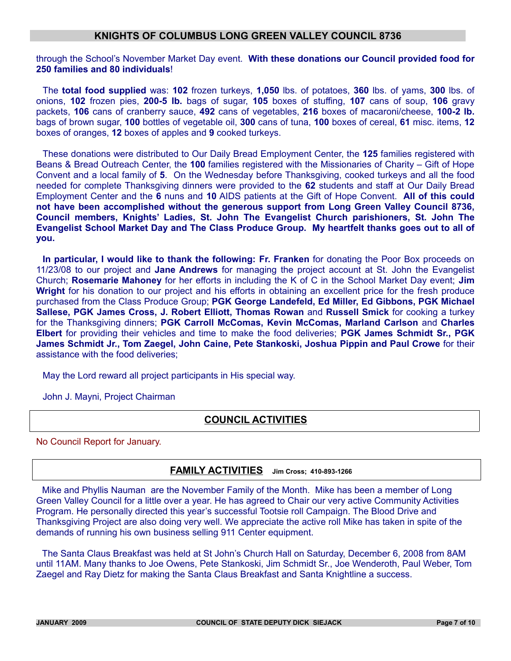through the School's November Market Day event. **With these donations our Council provided food for 250 families and 80 individuals**!

The **total food supplied** was: **102** frozen turkeys, **1,050** lbs. of potatoes, **360** lbs. of yams, **300** lbs. of onions, **102** frozen pies, **200-5 lb.** bags of sugar, **105** boxes of stuffing, **107** cans of soup, **106** gravy packets, **106** cans of cranberry sauce, **492** cans of vegetables, **216** boxes of macaroni/cheese, **100-2 lb.** bags of brown sugar, **100** bottles of vegetable oil, **300** cans of tuna, **100** boxes of cereal, **61** misc. items, **12** boxes of oranges, **12** boxes of apples and **9** cooked turkeys.

These donations were distributed to Our Daily Bread Employment Center, the **125** families registered with Beans & Bread Outreach Center, the **100** families registered with the Missionaries of Charity – Gift of Hope Convent and a local family of **5**. On the Wednesday before Thanksgiving, cooked turkeys and all the food needed for complete Thanksgiving dinners were provided to the **62** students and staff at Our Daily Bread Employment Center and the **6** nuns and **10** AIDS patients at the Gift of Hope Convent. **All of this could not have been accomplished without the generous support from Long Green Valley Council 8736, Council members, Knights' Ladies, St. John The Evangelist Church parishioners, St. John The Evangelist School Market Day and The Class Produce Group. My heartfelt thanks goes out to all of you.**

**In particular, I would like to thank the following: Fr. Franken** for donating the Poor Box proceeds on 11/23/08 to our project and **Jane Andrews** for managing the project account at St. John the Evangelist Church; **Rosemarie Mahoney** for her efforts in including the K of C in the School Market Day event; **Jim Wright** for his donation to our project and his efforts in obtaining an excellent price for the fresh produce purchased from the Class Produce Group; **PGK George Landefeld, Ed Miller, Ed Gibbons, PGK Michael Sallese, PGK James Cross, J. Robert Elliott, Thomas Rowan** and **Russell Smick** for cooking a turkey for the Thanksgiving dinners; **PGK Carroll McComas, Kevin McComas, Marland Carlson** and **Charles Elbert** for providing their vehicles and time to make the food deliveries; **PGK James Schmidt Sr., PGK James Schmidt Jr., Tom Zaegel, John Caine, Pete Stankoski, Joshua Pippin and Paul Crowe** for their assistance with the food deliveries;

May the Lord reward all project participants in His special way.

John J. Mayni, Project Chairman

# **COUNCIL ACTIVITIES**

No Council Report for January.

## **FAMILY ACTIVITIES Jim Cross; 410-893-1266**

Mike and Phyllis Nauman are the November Family of the Month. Mike has been a member of Long Green Valley Council for a little over a year. He has agreed to Chair our very active Community Activities Program. He personally directed this year's successful Tootsie roll Campaign. The Blood Drive and Thanksgiving Project are also doing very well. We appreciate the active roll Mike has taken in spite of the demands of running his own business selling 911 Center equipment.

The Santa Claus Breakfast was held at St John's Church Hall on Saturday, December 6, 2008 from 8AM until 11AM. Many thanks to Joe Owens, Pete Stankoski, Jim Schmidt Sr., Joe Wenderoth, Paul Weber, Tom Zaegel and Ray Dietz for making the Santa Claus Breakfast and Santa Knightline a success.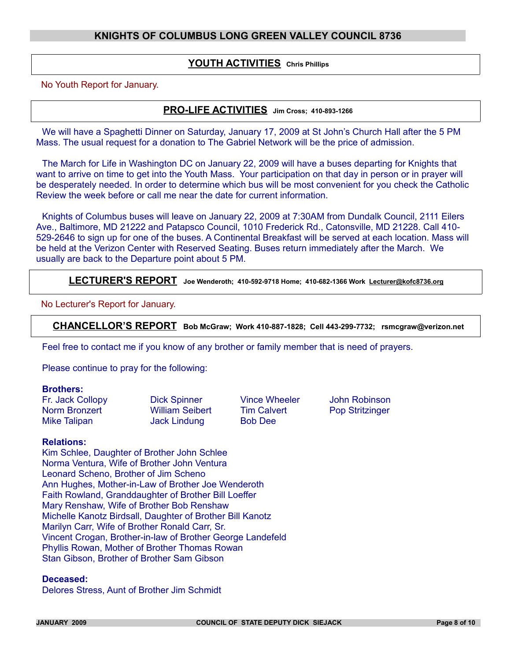#### **YOUTH ACTIVITIES Chris Phillips**

No Youth Report for January.

# **PRO-LIFE ACTIVITIES Jim Cross; 410-893-1266**

We will have a Spaghetti Dinner on Saturday, January 17, 2009 at St John's Church Hall after the 5 PM Mass. The usual request for a donation to The Gabriel Network will be the price of admission.

The March for Life in Washington DC on January 22, 2009 will have a buses departing for Knights that want to arrive on time to get into the Youth Mass. Your participation on that day in person or in prayer will be desperately needed. In order to determine which bus will be most convenient for you check the Catholic Review the week before or call me near the date for current information.

Knights of Columbus buses will leave on January 22, 2009 at 7:30AM from Dundalk Council, 2111 Eilers Ave., Baltimore, MD 21222 and Patapsco Council, 1010 Frederick Rd., Catonsville, MD 21228. Call 410- 529-2646 to sign up for one of the buses. A Continental Breakfast will be served at each location. Mass will be held at the Verizon Center with Reserved Seating. Buses return immediately after the March. We usually are back to the Departure point about 5 PM.

**LECTURER'S REPORT Joe Wenderoth; 410-592-9718 Home; 410-682-1366 Work Lecturer@kofc8736.org**

No Lecturer's Report for January.

**CHANCELLOR'S REPORT Bob McGraw; Work 410-887-1828; Cell 443-299-7732; rsmcgraw@verizon.net**

Feel free to contact me if you know of any brother or family member that is need of prayers.

Please continue to pray for the following:

#### **Brothers:**

Norm Bronzert William Seibert Tim Calvert Pop Stritzinger Mike Talipan **Jack Lindung** Bob Dee

Fr. Jack Collopy Dick Spinner Vince Wheeler John Robinson

#### **Relations:**

Kim Schlee, Daughter of Brother John Schlee Norma Ventura, Wife of Brother John Ventura Leonard Scheno, Brother of Jim Scheno Ann Hughes, Mother-in-Law of Brother Joe Wenderoth Faith Rowland, Granddaughter of Brother Bill Loeffer Mary Renshaw, Wife of Brother Bob Renshaw Michelle Kanotz Birdsall, Daughter of Brother Bill Kanotz Marilyn Carr, Wife of Brother Ronald Carr, Sr. Vincent Crogan, Brother-in-law of Brother George Landefeld Phyllis Rowan, Mother of Brother Thomas Rowan Stan Gibson, Brother of Brother Sam Gibson

#### **Deceased:**

Delores Stress, Aunt of Brother Jim Schmidt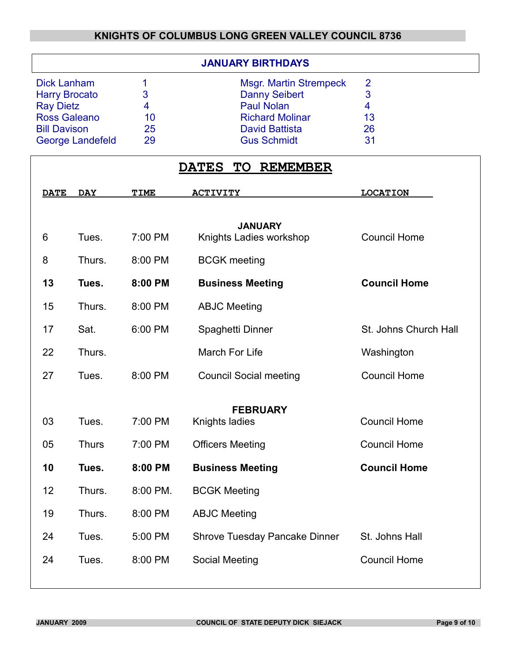|                         |    | <b>JANUARY BIRTHDAYS</b>      |    |  |
|-------------------------|----|-------------------------------|----|--|
| <b>Dick Lanham</b>      |    | <b>Msgr. Martin Strempeck</b> | 2  |  |
| <b>Harry Brocato</b>    | 3  | <b>Danny Seibert</b>          | 3  |  |
| <b>Ray Dietz</b>        | 4  | <b>Paul Nolan</b>             | 4  |  |
| <b>Ross Galeano</b>     | 10 | <b>Richard Molinar</b>        | 13 |  |
| <b>Bill Davison</b>     | 25 | <b>David Battista</b>         | 26 |  |
| <b>George Landefeld</b> | 29 | <b>Gus Schmidt</b>            | 31 |  |

|             | <b>DATES</b><br><b>REMEMBER</b><br><b>TO</b> |             |                                           |                       |
|-------------|----------------------------------------------|-------------|-------------------------------------------|-----------------------|
| <b>DATE</b> | <b>DAY</b>                                   | <b>TIME</b> | <b>ACTIVITY</b>                           | <b>LOCATION</b>       |
| 6           | Tues.                                        | 7:00 PM     | <b>JANUARY</b><br>Knights Ladies workshop | <b>Council Home</b>   |
| 8           | Thurs.                                       | 8:00 PM     | <b>BCGK</b> meeting                       |                       |
| 13          | Tues.                                        | 8:00 PM     | <b>Business Meeting</b>                   | <b>Council Home</b>   |
| 15          | Thurs.                                       | 8:00 PM     | <b>ABJC Meeting</b>                       |                       |
| 17          | Sat.                                         | 6:00 PM     | Spaghetti Dinner                          | St. Johns Church Hall |
| 22          | Thurs.                                       |             | <b>March For Life</b>                     | Washington            |
| 27          | Tues.                                        | 8:00 PM     | <b>Council Social meeting</b>             | <b>Council Home</b>   |
|             |                                              |             | <b>FEBRUARY</b>                           |                       |
| 03          | Tues.                                        | 7:00 PM     | Knights ladies                            | <b>Council Home</b>   |
| 05          | <b>Thurs</b>                                 | 7:00 PM     | <b>Officers Meeting</b>                   | <b>Council Home</b>   |
| 10          | Tues.                                        | 8:00 PM     | <b>Business Meeting</b>                   | <b>Council Home</b>   |
| 12          | Thurs.                                       | 8:00 PM.    | <b>BCGK Meeting</b>                       |                       |
| 19          | Thurs.                                       | 8:00 PM     | <b>ABJC Meeting</b>                       |                       |
| 24          | Tues.                                        | 5:00 PM     | Shrove Tuesday Pancake Dinner             | St. Johns Hall        |
| 24          | Tues.                                        | 8:00 PM     | <b>Social Meeting</b>                     | <b>Council Home</b>   |
|             |                                              |             |                                           |                       |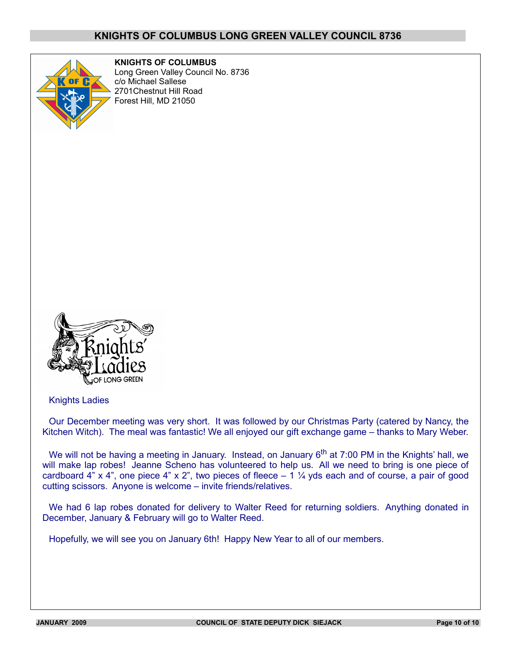

**KNIGHTS OF COLUMBUS** Long Green Valley Council No. 8736 c/o Michael Sallese 2701Chestnut Hill Road Forest Hill, MD 21050



Knights Ladies

Our December meeting was very short. It was followed by our Christmas Party (catered by Nancy, the Kitchen Witch). The meal was fantastic! We all enjoyed our gift exchange game – thanks to Mary Weber.

We will not be having a meeting in January. Instead, on January  $6<sup>th</sup>$  at 7:00 PM in the Knights' hall, we will make lap robes! Jeanne Scheno has volunteered to help us. All we need to bring is one piece of cardboard  $4$ " x  $4$ ", one piece  $4$ " x  $2$ ", two pieces of fleece  $-1\frac{1}{4}$  yds each and of course, a pair of good cutting scissors. Anyone is welcome – invite friends/relatives.

We had 6 lap robes donated for delivery to Walter Reed for returning soldiers. Anything donated in December, January & February will go to Walter Reed.

Hopefully, we will see you on January 6th! Happy New Year to all of our members.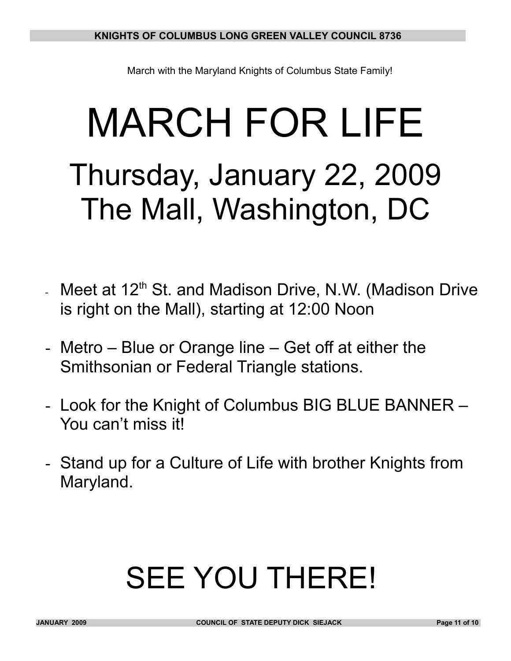March with the Maryland Knights of Columbus State Family!

# MARCH FOR LIFE Thursday, January 22, 2009 The Mall, Washington, DC

- Meet at  $12<sup>th</sup>$  St. and Madison Drive, N.W. (Madison Drive is right on the Mall), starting at 12:00 Noon
- Metro Blue or Orange line Get off at either the Smithsonian or Federal Triangle stations.
- Look for the Knight of Columbus BIG BLUE BANNER You can't miss it!
- Stand up for a Culture of Life with brother Knights from Maryland.